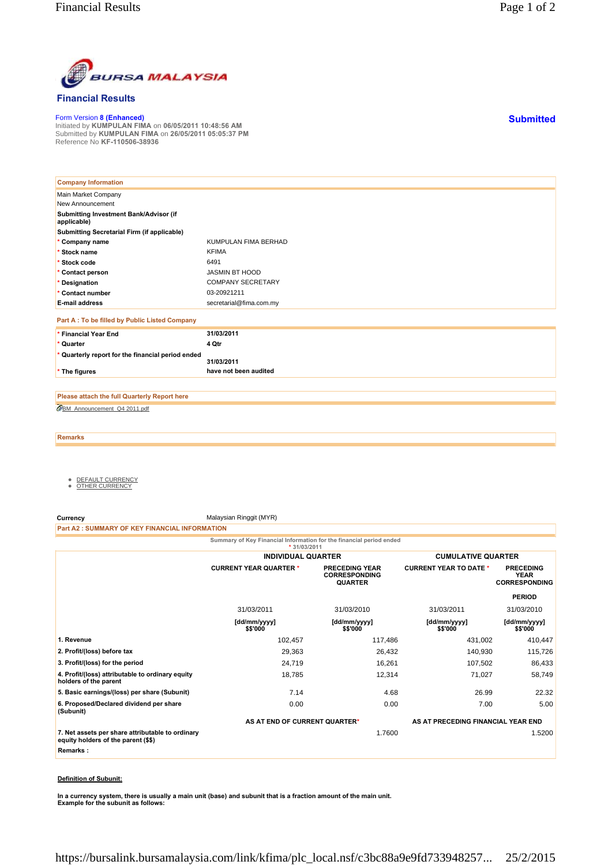

## **Financial Results**

Form Version **8 (Enhanced)** Initiated by **KUMPULAN FIMA** on **06/05/2011 10:48:56 AM** Submitted by **KUMPULAN FIMA** on **26/05/2011 05:05:37 PM** Reference No **KF-110506-38936**

| <b>Company Information</b>                            |                          |
|-------------------------------------------------------|--------------------------|
| Main Market Company                                   |                          |
| New Announcement                                      |                          |
| Submitting Investment Bank/Advisor (if<br>applicable) |                          |
| Submitting Secretarial Firm (if applicable)           |                          |
| * Company name                                        | KUMPULAN FIMA BERHAD     |
| * Stock name                                          | <b>KFIMA</b>             |
| * Stock code                                          | 6491                     |
| * Contact person                                      | JASMIN BT HOOD           |
| * Designation                                         | <b>COMPANY SECRETARY</b> |
| * Contact number                                      | 03-20921211              |
| <b>E-mail address</b>                                 | secretarial@fima.com.my  |
| Part A : To be filled by Public Listed Company        |                          |
| * Financial Year End                                  | 31/03/2011               |
| * Quarter                                             | 4 Qtr                    |
| * Quarterly report for the financial period ended     | 31/03/2011               |
| * The figures                                         | have not been audited    |

BM\_Announcement\_Q4 2011.pdf **Please attach the full Quarterly Report here**

**Remarks**

- <u>DEFAULT CURRENCY</u><br>● <u>OTHER CURRENCY</u>
- 

**Currency** Malaysian Ringgit (MYR)

**Part A2 : SUMMARY OF KEY FINANCIAL INFORMATION**

**Summary of Key Financial Information for the financial period ended**

|                                                                                         | $*31/03/2011$                 |                                                                 |                                    |                                                         |
|-----------------------------------------------------------------------------------------|-------------------------------|-----------------------------------------------------------------|------------------------------------|---------------------------------------------------------|
|                                                                                         | <b>INDIVIDUAL QUARTER</b>     |                                                                 | <b>CUMULATIVE QUARTER</b>          |                                                         |
|                                                                                         | <b>CURRENT YEAR QUARTER *</b> | <b>PRECEDING YEAR</b><br><b>CORRESPONDING</b><br><b>QUARTER</b> | <b>CURRENT YEAR TO DATE *</b>      | <b>PRECEDING</b><br><b>YEAR</b><br><b>CORRESPONDING</b> |
|                                                                                         |                               |                                                                 |                                    | <b>PERIOD</b>                                           |
|                                                                                         | 31/03/2011                    | 31/03/2010                                                      | 31/03/2011                         | 31/03/2010                                              |
|                                                                                         | [dd/mm/yyyy]<br>\$\$'000      | [dd/mm/yyyy]<br>\$\$'000                                        | [dd/mm/yyyy]<br>\$\$'000           | [dd/mm/yyyy]<br>\$\$'000                                |
| 1. Revenue                                                                              | 102,457                       | 117,486                                                         | 431,002                            | 410,447                                                 |
| 2. Profit/(loss) before tax                                                             | 29,363                        | 26,432                                                          | 140,930                            | 115,726                                                 |
| 3. Profit/(loss) for the period                                                         | 24,719                        | 16,261                                                          | 107,502                            | 86,433                                                  |
| 4. Profit/(loss) attributable to ordinary equity<br>holders of the parent               | 18,785                        | 12,314                                                          | 71,027                             | 58,749                                                  |
| 5. Basic earnings/(loss) per share (Subunit)                                            | 7.14                          | 4.68                                                            | 26.99                              | 22.32                                                   |
| 6. Proposed/Declared dividend per share<br>(Subunit)                                    | 0.00                          | 0.00                                                            | 7.00                               | 5.00                                                    |
|                                                                                         | AS AT END OF CURRENT QUARTER* |                                                                 | AS AT PRECEDING FINANCIAL YEAR END |                                                         |
| 7. Net assets per share attributable to ordinary<br>equity holders of the parent (\$\$) |                               | 1.7600                                                          |                                    | 1.5200                                                  |
| Remarks:                                                                                |                               |                                                                 |                                    |                                                         |

## **Definition of Subunit:**

**In a currency system, there is usually a main unit (base) and subunit that is a fraction amount of the main unit. Example for the subunit as follows:**

**Submitted**